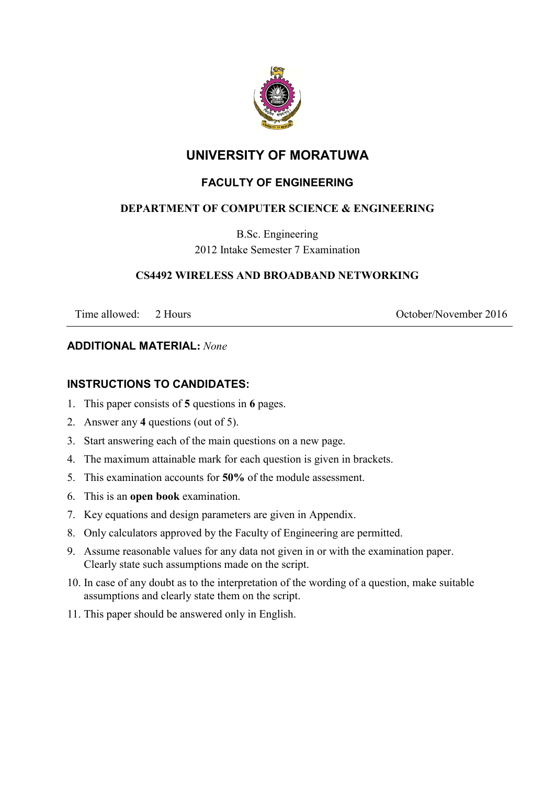

# **UNIVERSITY OF MORATUWA**

## **FACULTY OF ENGINEERING**

## **DEPARTMENT OF COMPUTER SCIENCE & ENGINEERING**

B.Sc. Engineering 2012 Intake Semester 7 Examination

#### **CS4492 WIRELESS AND BROADBAND NETWORKING**

Time allowed: 2 Hours 2016

#### **ADDITIONAL MATERIAL:** *None*

## **INSTRUCTIONS TO CANDIDATES:**

- 1. This paper consists of **5** questions in **6** pages.
- 2. Answer any **4** questions (out of 5).
- 3. Start answering each of the main questions on a new page.
- 4. The maximum attainable mark for each question is given in brackets.
- 5. This examination accounts for **50%** of the module assessment.
- 6. This is an **open book** examination.
- 7. Key equations and design parameters are given in Appendix.
- 8. Only calculators approved by the Faculty of Engineering are permitted.
- 9. Assume reasonable values for any data not given in or with the examination paper. Clearly state such assumptions made on the script.
- 10. In case of any doubt as to the interpretation of the wording of a question, make suitable assumptions and clearly state them on the script.
- 11. This paper should be answered only in English.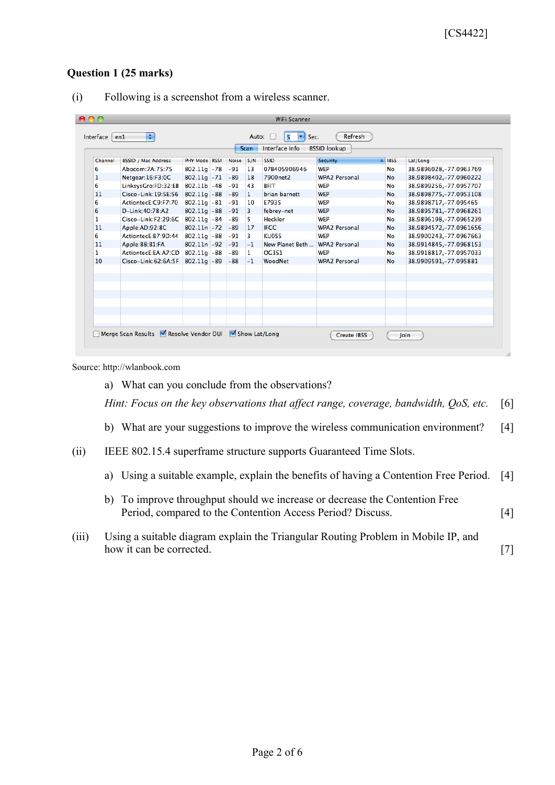#### **Question 1 (25 marks)**

| Interface Info<br><b>BSSID lookup</b><br><b>Scan</b> |                                 |                |  |           |              |                 |                      |             |                         |
|------------------------------------------------------|---------------------------------|----------------|--|-----------|--------------|-----------------|----------------------|-------------|-------------------------|
| Channel                                              | <b>BSSID / Mac Address</b>      | PHY Mode RSSI  |  | Noise S/N |              | <b>SSID</b>     | Security             | <b>IBSS</b> | Lat/Long                |
| 6                                                    | Abocom: 7A: 75: 75              | $802.11g - 78$ |  | $-91$     | 13           | 07B405906946    | <b>WEP</b>           | <b>No</b>   | 38.9896028, -77.0963769 |
| 1                                                    | Netgear: 16:F3:0C               | $802.11g - 71$ |  | $-89$     | 18           | 7900net2        | <b>WPA2 Personal</b> | <b>No</b>   | 38.9898402,-77.0960222  |
| 6                                                    | LinksysGro:FD:32:EB 802.11b -48 |                |  | $-91$     | 43           | <b>BFIT</b>     | <b>WEP</b>           | No          | 38.9899256,-77.0957707  |
| 11                                                   | Cisco-Link:19:5E:56 802.11g -88 |                |  | $-89$     | $\mathbf{1}$ | brian barnett   | <b>WEP</b>           | No          | 38.9898775,-77.0953108  |
| 6                                                    | ActiontecE:C9:F7:70             | $802.11q - 81$ |  | $-91$     | 10           | E7935           | <b>WEP</b>           | No          | 38.9898717,-77.095465   |
| 6                                                    | D-Link:40:78:A2                 | $802.11g - 88$ |  | $-91$     | 3            | febrey-net      | <b>WEP</b>           | <b>No</b>   | 38.9895781,-77.0968261  |
| $\mathbf{1}$                                         | Cisco-Link:F2:29:6C 802.11g -84 |                |  | $-89$     | 5.           | <b>Heckler</b>  | <b>WEP</b>           | No          | 38.9896198,-77.0965239  |
| 11                                                   | Apple:AD:92:8C                  | $802.11n - 72$ |  | $-89$     | 17           | <b>IFCC</b>     | <b>WPA2 Personal</b> | No          | 38.9894572,-77.0961656  |
| 6                                                    | ActiontecE:B7:9D:44 802.11g -88 |                |  | $-91$     | 3.           | <b>KU0S5</b>    | <b>WFP</b>           | No          | 38.9900243,-77.0967663  |
| 11                                                   | Apple:88:B1:FA                  | $802.11n - 92$ |  | $-91$     | $-1$         | New Planet Beth | <b>WPA2 Personal</b> | <b>No</b>   | 38.9914845,-77.0968153  |
| 1                                                    | ActiontecE:EA:A7:CD 802.11g -88 |                |  | $-89$     | $\mathbf{1}$ | <b>OG3S1</b>    | <b>WEP</b>           | No          | 38.9918817.-77.0957033  |
| 10                                                   | Cisco-Link:62:6A:5F             | $802.11q$ -89  |  | $-88$     | $-1$         | WoodNet         | <b>WPA2 Personal</b> | No          | 38.9909591,-77.095881   |
|                                                      |                                 |                |  |           |              |                 |                      |             |                         |
|                                                      |                                 |                |  |           |              |                 |                      |             |                         |
|                                                      |                                 |                |  |           |              |                 |                      |             |                         |
|                                                      |                                 |                |  |           |              |                 |                      |             |                         |

(i) Following is a screenshot from a wireless scanner.

Source: http://wlanbook.com

a) What can you conclude from the observations?

*Hint: Focus on the key observations that affect range, coverage, bandwidth, QoS, etc.* [6]

- b) What are your suggestions to improve the wireless communication environment? [4]
- (ii) IEEE 802.15.4 superframe structure supports Guaranteed Time Slots.
	- a) Using a suitable example, explain the benefits of having a Contention Free Period. [4]
	- b) To improve throughput should we increase or decrease the Contention Free Period, compared to the Contention Access Period? Discuss. [4]
- (iii) Using a suitable diagram explain the Triangular Routing Problem in Mobile IP, and how it can be corrected. [7]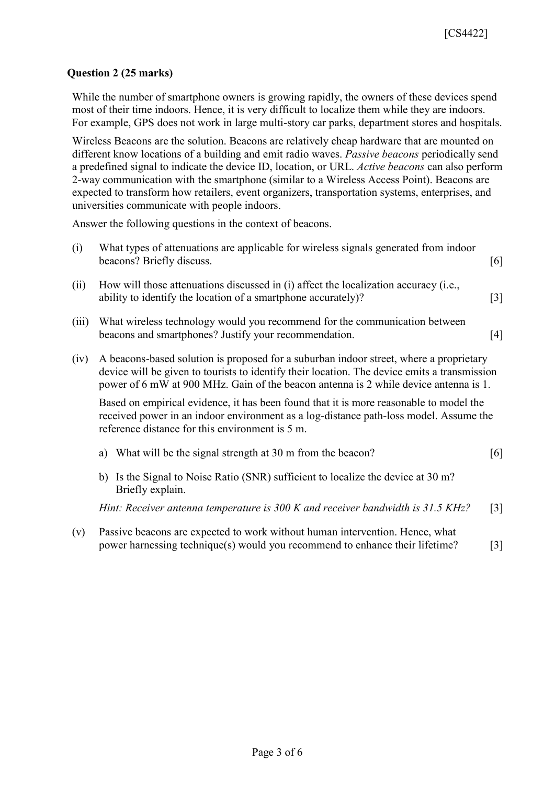#### **Question 2 (25 marks)**

While the number of smartphone owners is growing rapidly, the owners of these devices spend most of their time indoors. Hence, it is very difficult to localize them while they are indoors. For example, GPS does not work in large multi-story car parks, department stores and hospitals.

Wireless Beacons are the solution. Beacons are relatively cheap hardware that are mounted on different know locations of a building and emit radio waves. *Passive beacons* periodically send a predefined signal to indicate the device ID, location, or URL. *Active beacons* can also perform 2-way communication with the smartphone (similar to a Wireless Access Point). Beacons are expected to transform how retailers, event organizers, transportation systems, enterprises, and universities communicate with people indoors.

Answer the following questions in the context of beacons.

| What types of attenuations are applicable for wireless signals generated from indoor |     |
|--------------------------------------------------------------------------------------|-----|
| beacons? Briefly discuss.                                                            | [6] |

- (ii) How will those attenuations discussed in (i) affect the localization accuracy (i.e., ability to identify the location of a smartphone accurately)? [3]
- (iii) What wireless technology would you recommend for the communication between beacons and smartphones? Justify your recommendation. [4]
- (iv) A beacons-based solution is proposed for a suburban indoor street, where a proprietary device will be given to tourists to identify their location. The device emits a transmission power of 6 mW at 900 MHz. Gain of the beacon antenna is 2 while device antenna is 1.

Based on empirical evidence, it has been found that it is more reasonable to model the received power in an indoor environment as a log-distance path-loss model. Assume the reference distance for this environment is 5 m.

- a) What will be the signal strength at 30 m from the beacon? [6]
- b) Is the Signal to Noise Ratio (SNR) sufficient to localize the device at 30 m? Briefly explain.

*Hint: Receiver antenna temperature is 300 K and receiver bandwidth is 31.5 KHz?* [3]

(v) Passive beacons are expected to work without human intervention. Hence, what power harnessing technique(s) would you recommend to enhance their lifetime? [3]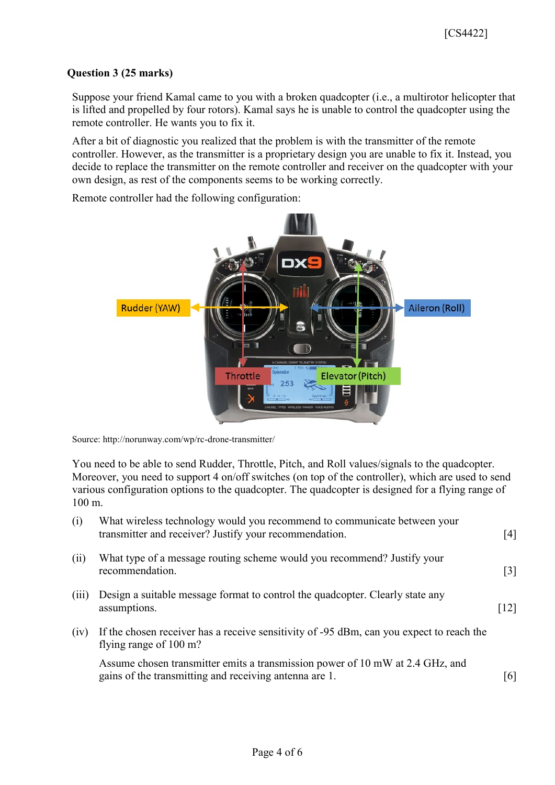#### **Question 3 (25 marks)**

Suppose your friend Kamal came to you with a broken quadcopter (i.e., a multirotor helicopter that is lifted and propelled by four rotors). Kamal says he is unable to control the quadcopter using the remote controller. He wants you to fix it.

After a bit of diagnostic you realized that the problem is with the transmitter of the remote controller. However, as the transmitter is a proprietary design you are unable to fix it. Instead, you decide to replace the transmitter on the remote controller and receiver on the quadcopter with your own design, as rest of the components seems to be working correctly.

Remote controller had the following configuration:



Source: http://norunway.com/wp/rc-drone-transmitter/

You need to be able to send Rudder, Throttle, Pitch, and Roll values/signals to the quadcopter. Moreover, you need to support 4 on/off switches (on top of the controller), which are used to send various configuration options to the quadcopter. The quadcopter is designed for a flying range of 100 m.

| (i)   | What wireless technology would you recommend to communicate between your<br>transmitter and receiver? Justify your recommendation.      | [4]               |
|-------|-----------------------------------------------------------------------------------------------------------------------------------------|-------------------|
| (ii)  | What type of a message routing scheme would you recommend? Justify your<br>recommendation.                                              | $\lceil 3 \rceil$ |
| (iii) | Design a suitable message format to control the quadropter. Clearly state any<br>assumptions.                                           | $[12]$            |
| (iv)  | If the chosen receiver has a receive sensitivity of -95 dBm, can you expect to reach the<br>flying range of 100 m?                      |                   |
|       | Assume chosen transmitter emits a transmission power of 10 mW at 2.4 GHz, and<br>gains of the transmitting and receiving antenna are 1. | [6]               |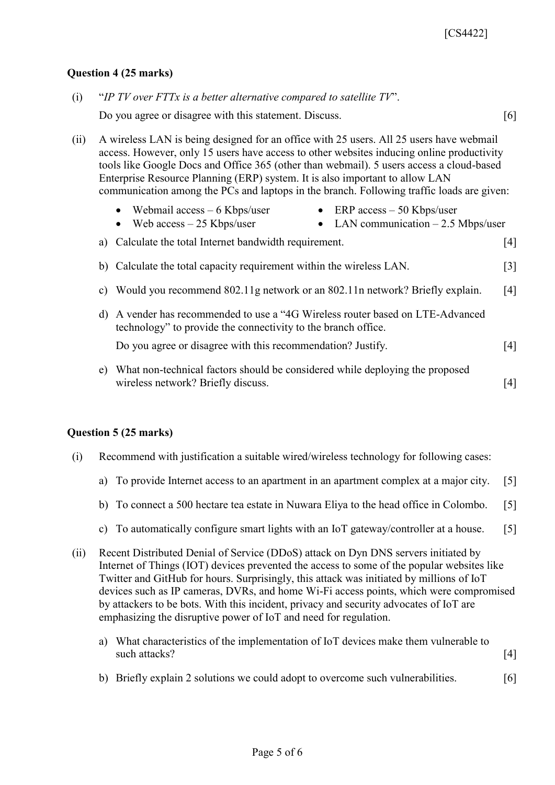#### **Question 4 (25 marks)**

|      | Do you agree or disagree with this statement. Discuss.                                                                                                                                                                                                                                                                                                                                                                                                        | $\lceil 6 \rceil$ |
|------|---------------------------------------------------------------------------------------------------------------------------------------------------------------------------------------------------------------------------------------------------------------------------------------------------------------------------------------------------------------------------------------------------------------------------------------------------------------|-------------------|
| (ii) | A wireless LAN is being designed for an office with 25 users. All 25 users have webmail<br>access. However, only 15 users have access to other websites inducing online productivity<br>tools like Google Docs and Office 365 (other than webmail). 5 users access a cloud-based<br>Enterprise Resource Planning (ERP) system. It is also important to allow LAN<br>communication among the PCs and laptops in the branch. Following traffic loads are given: |                   |
|      | Webmail $access - 6$ Kbps/user<br>• ERP $access - 50$ Kbps/user<br>• LAN communication $-2.5$ Mbps/user<br>Web $access - 25$ Kbps/user<br>$\bullet$                                                                                                                                                                                                                                                                                                           |                   |
|      | Calculate the total Internet bandwidth requirement.<br>a)                                                                                                                                                                                                                                                                                                                                                                                                     | $\lceil 4 \rceil$ |
|      | b) Calculate the total capacity requirement within the wireless LAN.                                                                                                                                                                                                                                                                                                                                                                                          | [3]               |
|      | Would you recommend 802.11g network or an 802.11n network? Briefly explain.<br>C)                                                                                                                                                                                                                                                                                                                                                                             | [4]               |
|      | d) A vender has recommended to use a "4G Wireless router based on LTE-Advanced<br>technology" to provide the connectivity to the branch office.                                                                                                                                                                                                                                                                                                               |                   |
|      | Do you agree or disagree with this recommendation? Justify.                                                                                                                                                                                                                                                                                                                                                                                                   | [4]               |
|      | What non-technical factors should be considered while deploying the proposed<br>e)<br>wireless network? Briefly discuss.                                                                                                                                                                                                                                                                                                                                      | [4]               |

(i) "*IP TV over FTTx is a better alternative compared to satellite TV*".

#### **Question 5 (25 marks)**

- (i) Recommend with justification a suitable wired/wireless technology for following cases:
	- a) To provide Internet access to an apartment in an apartment complex at a major city. [5]
	- b) To connect a 500 hectare tea estate in Nuwara Eliya to the head office in Colombo. [5]
	- c) To automatically configure smart lights with an IoT gateway/controller at a house. [5]
- (ii) Recent Distributed Denial of Service (DDoS) attack on Dyn DNS servers initiated by Internet of Things (IOT) devices prevented the access to some of the popular websites like Twitter and GitHub for hours. Surprisingly, this attack was initiated by millions of IoT devices such as IP cameras, DVRs, and home Wi-Fi access points, which were compromised by attackers to be bots. With this incident, privacy and security advocates of IoT are emphasizing the disruptive power of IoT and need for regulation.
	- a) What characteristics of the implementation of IoT devices make them vulnerable to such attacks? [4]
	- b) Briefly explain 2 solutions we could adopt to overcome such vulnerabilities. [6]